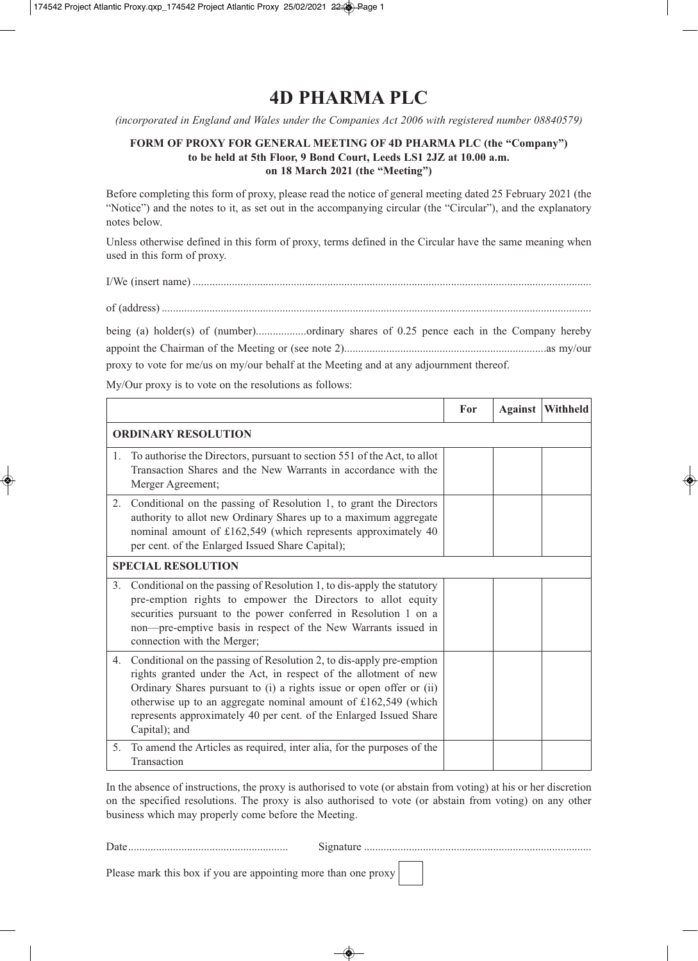## **4D PHARMA PLC**

*(incorporated in England and Wales under the Companies Act 2006 with registered number 08840579)*

## **FORM OF PROXY FOR GENERAL MEETING OF 4D PHARMA PLC (the "Company") to be held at 5th Floor, 9 Bond Court, Leeds LS1 2JZ at 10.00 a.m. on 18 March 2021 (the "Meeting")**

Before completing this form of proxy, please read the notice of general meeting dated 25 February 2021 (the "Notice") and the notes to it, as set out in the accompanying circular (the "Circular"), and the explanatory notes below.

Unless otherwise defined in this form of proxy, terms defined in the Circular have the same meaning when used in this form of proxy.

I/We (insert name) ..............................................................................................................................................

of (address) .........................................................................................................................................................

being (a) holder(s) of (number)..................ordinary shares of 0.25 pence each in the Company hereby appoint the Chairman of the Meeting or (see note 2)........................................................................as my/our proxy to vote for me/us on my/our behalf at the Meeting and at any adjournment thereof.

My/Our proxy is to vote on the resolutions as follows:

|                            |                                                                                                                                                                                                                                                                                                                                                                             | For | <b>Against</b> | <b>Withheld</b> |
|----------------------------|-----------------------------------------------------------------------------------------------------------------------------------------------------------------------------------------------------------------------------------------------------------------------------------------------------------------------------------------------------------------------------|-----|----------------|-----------------|
| <b>ORDINARY RESOLUTION</b> |                                                                                                                                                                                                                                                                                                                                                                             |     |                |                 |
|                            | 1. To authorise the Directors, pursuant to section 551 of the Act, to allot<br>Transaction Shares and the New Warrants in accordance with the<br>Merger Agreement;                                                                                                                                                                                                          |     |                |                 |
| 2.                         | Conditional on the passing of Resolution 1, to grant the Directors<br>authority to allot new Ordinary Shares up to a maximum aggregate<br>nominal amount of £162,549 (which represents approximately 40<br>per cent. of the Enlarged Issued Share Capital);                                                                                                                 |     |                |                 |
| <b>SPECIAL RESOLUTION</b>  |                                                                                                                                                                                                                                                                                                                                                                             |     |                |                 |
| 3 <sub>1</sub>             | Conditional on the passing of Resolution 1, to dis-apply the statutory<br>pre-emption rights to empower the Directors to allot equity<br>securities pursuant to the power conferred in Resolution 1 on a<br>non-pre-emptive basis in respect of the New Warrants issued in<br>connection with the Merger;                                                                   |     |                |                 |
| 4.                         | Conditional on the passing of Resolution 2, to dis-apply pre-emption<br>rights granted under the Act, in respect of the allotment of new<br>Ordinary Shares pursuant to (i) a rights issue or open offer or (ii)<br>otherwise up to an aggregate nominal amount of $£162,549$ (which<br>represents approximately 40 per cent. of the Enlarged Issued Share<br>Capital); and |     |                |                 |
| 5.                         | To amend the Articles as required, inter alia, for the purposes of the<br>Transaction                                                                                                                                                                                                                                                                                       |     |                |                 |

In the absence of instructions, the proxy is authorised to vote (or abstain from voting) at his or her discretion on the specified resolutions. The proxy is also authorised to vote (or abstain from voting) on any other business which may properly come before the Meeting.

Date......................................................... Signature .................................................................................

Please mark this box if you are appointing more than one proxy